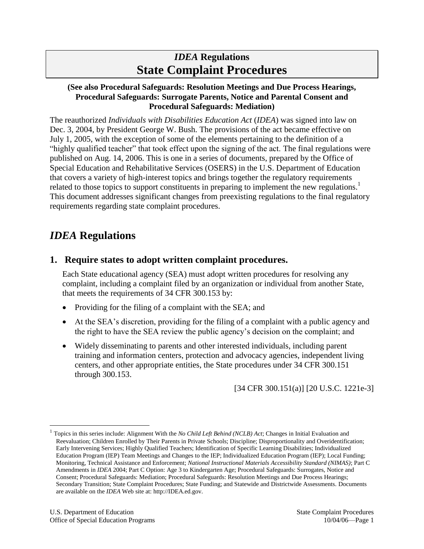# *IDEA* **Regulations State Complaint Procedures**

#### **(See also Procedural Safeguards: Resolution Meetings and Due Process Hearings, Procedural Safeguards: Surrogate Parents, Notice and Parental Consent and Procedural Safeguards: Mediation)**

The reauthorized *Individuals with Disabilities Education Act* (*IDEA*) was signed into law on Dec. 3, 2004, by President George W. Bush. The provisions of the act became effective on July 1, 2005, with the exception of some of the elements pertaining to the definition of a "highly qualified teacher" that took effect upon the signing of the act. The final regulations were published on Aug. 14, 2006. This is one in a series of documents, prepared by the Office of Special Education and Rehabilitative Services (OSERS) in the U.S. Department of Education that covers a variety of high-interest topics and brings together the regulatory requirements related to those topics to support constituents in preparing to implement the new regulations.<sup>1</sup> This document addresses significant changes from preexisting regulations to the final regulatory requirements regarding state complaint procedures.

# *IDEA* **Regulations**

## **1. Require states to adopt written complaint procedures.**

Each State educational agency (SEA) must adopt written procedures for resolving any complaint, including a complaint filed by an organization or individual from another State, that meets the requirements of 34 CFR 300.153 by:

- Providing for the filing of a complaint with the SEA; and
- At the SEA's discretion, providing for the filing of a complaint with a public agency and the right to have the SEA review the public agency's decision on the complaint; and
- Widely disseminating to parents and other interested individuals, including parent training and information centers, protection and advocacy agencies, independent living centers, and other appropriate entities, the State procedures under 34 CFR 300.151 through 300.153.

[34 CFR 300.151(a)] [20 U.S.C. 1221e-3]

 $\overline{a}$ 

<sup>1</sup> Topics in this series include: Alignment With the *No Child Left Behind (NCLB) Act*; Changes in Initial Evaluation and Reevaluation; Children Enrolled by Their Parents in Private Schools; Discipline; Disproportionality and Overidentification; Early Intervening Services; Highly Qualified Teachers; Identification of Specific Learning Disabilities; Individualized Education Program (IEP) Team Meetings and Changes to the IEP; Individualized Education Program (IEP); Local Funding; Monitoring, Technical Assistance and Enforcement; *National Instructional Materials Accessibility Standard (NIMAS)*; Part C Amendments in *IDEA* 2004; Part C Option: Age 3 to Kindergarten Age; Procedural Safeguards: Surrogates, Notice and Consent; Procedural Safeguards: Mediation; Procedural Safeguards: Resolution Meetings and Due Process Hearings; Secondary Transition; State Complaint Procedures; State Funding; and Statewide and Districtwide Assessments. Documents are available on the *IDEA* Web site at: http://IDEA.ed.gov.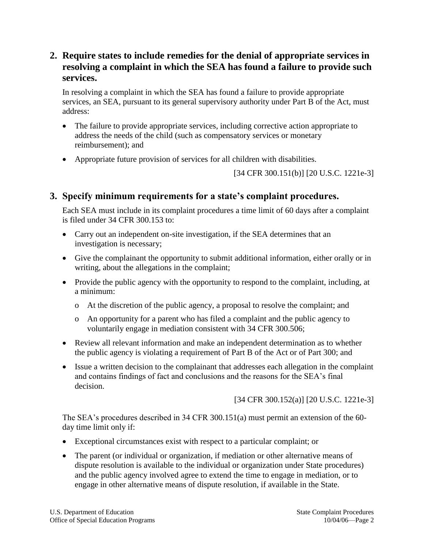## **2. Require states to include remedies for the denial of appropriate services in resolving a complaint in which the SEA has found a failure to provide such services.**

In resolving a complaint in which the SEA has found a failure to provide appropriate services, an SEA, pursuant to its general supervisory authority under Part B of the Act, must address:

- The failure to provide appropriate services, including corrective action appropriate to address the needs of the child (such as compensatory services or monetary reimbursement); and
- Appropriate future provision of services for all children with disabilities.

[34 CFR 300.151(b)] [20 U.S.C. 1221e-3]

## **3. Specify minimum requirements for a state's complaint procedures.**

Each SEA must include in its complaint procedures a time limit of 60 days after a complaint is filed under 34 CFR 300.153 to:

- Carry out an independent on-site investigation, if the SEA determines that an investigation is necessary;
- Give the complainant the opportunity to submit additional information, either orally or in writing, about the allegations in the complaint;
- Provide the public agency with the opportunity to respond to the complaint, including, at a minimum:
	- o At the discretion of the public agency, a proposal to resolve the complaint; and
	- o An opportunity for a parent who has filed a complaint and the public agency to voluntarily engage in mediation consistent with 34 CFR 300.506;
- Review all relevant information and make an independent determination as to whether the public agency is violating a requirement of Part B of the Act or of Part 300; and
- Issue a written decision to the complainant that addresses each allegation in the complaint and contains findings of fact and conclusions and the reasons for the SEA's final decision.

[34 CFR 300.152(a)] [20 U.S.C. 1221e-3]

The SEA's procedures described in 34 CFR 300.151(a) must permit an extension of the 60 day time limit only if:

- Exceptional circumstances exist with respect to a particular complaint; or
- The parent (or individual or organization, if mediation or other alternative means of dispute resolution is available to the individual or organization under State procedures) and the public agency involved agree to extend the time to engage in mediation, or to engage in other alternative means of dispute resolution, if available in the State.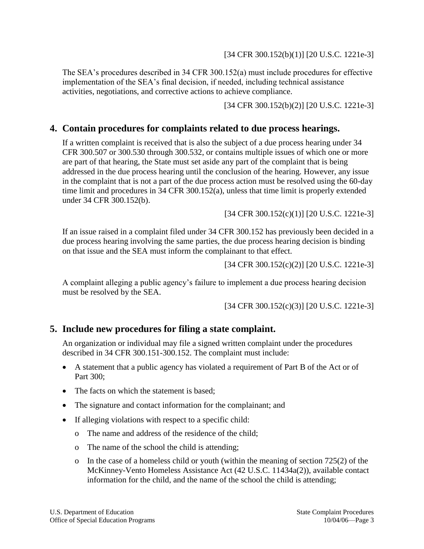#### [34 CFR 300.152(b)(1)] [20 U.S.C. 1221e-3]

The SEA's procedures described in 34 CFR 300.152(a) must include procedures for effective implementation of the SEA's final decision, if needed, including technical assistance activities, negotiations, and corrective actions to achieve compliance.

[34 CFR 300.152(b)(2)] [20 U.S.C. 1221e-3]

### **4. Contain procedures for complaints related to due process hearings.**

If a written complaint is received that is also the subject of a due process hearing under 34 CFR 300.507 or 300.530 through 300.532, or contains multiple issues of which one or more are part of that hearing, the State must set aside any part of the complaint that is being addressed in the due process hearing until the conclusion of the hearing. However, any issue in the complaint that is not a part of the due process action must be resolved using the 60-day time limit and procedures in 34 CFR 300.152(a), unless that time limit is properly extended under 34 CFR 300.152(b).

[34 CFR 300.152(c)(1)] [20 U.S.C. 1221e-3]

If an issue raised in a complaint filed under 34 CFR 300.152 has previously been decided in a due process hearing involving the same parties, the due process hearing decision is binding on that issue and the SEA must inform the complainant to that effect.

[34 CFR 300.152(c)(2)] [20 U.S.C. 1221e-3]

A complaint alleging a public agency's failure to implement a due process hearing decision must be resolved by the SEA.

[34 CFR 300.152(c)(3)] [20 U.S.C. 1221e-3]

## **5. Include new procedures for filing a state complaint.**

An organization or individual may file a signed written complaint under the procedures described in 34 CFR 300.151-300.152. The complaint must include:

- A statement that a public agency has violated a requirement of Part B of the Act or of Part 300;
- The facts on which the statement is based;
- The signature and contact information for the complainant; and
- If alleging violations with respect to a specific child:
	- o The name and address of the residence of the child;
	- o The name of the school the child is attending;
	- o In the case of a homeless child or youth (within the meaning of section 725(2) of the McKinney-Vento Homeless Assistance Act (42 U.S.C. 11434a(2)), available contact information for the child, and the name of the school the child is attending;